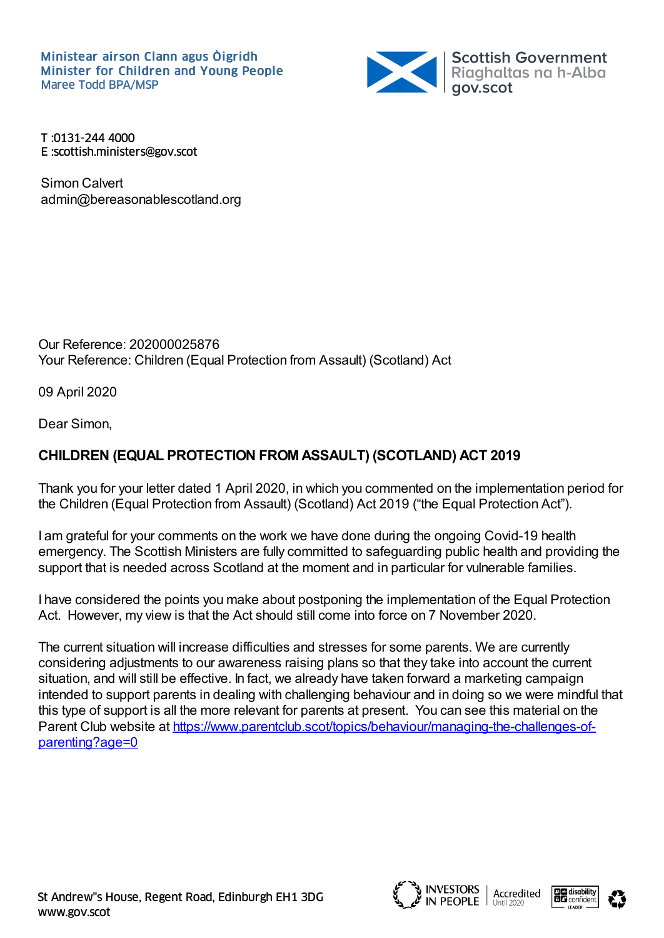

T :0131-244 4000 E :scottish.ministers@gov.scot

Simon Calvert admin@bereasonablescotland.org

Our Reference: 202000025876 Your Reference: Children (Equal Protection from Assault) (Scotland) Act

09 April 2020

Dear Simon,

## **CHILDREN (EQUAL PROTECTION FROM ASSAULT) (SCOTLAND) ACT 2019**

Thank you for your letter dated 1 April 2020, in which you commented on the implementation period for the Children (Equal Protection from Assault) (Scotland) Act 2019 ("the Equal Protection Act").

I am grateful for your comments on the work we have done during the ongoing Covid-19 health emergency. The Scottish Ministers are fully committed to safeguarding public health and providing the support that is needed across Scotland at the moment and in particular for vulnerable families.

I have considered the points you make about postponing the implementation of the Equal Protection Act. However, my view is that the Act should still come into force on 7 November 2020.

The current situation will increase difficulties and stresses for some parents. We are currently considering adjustments to our awareness raising plans so that they take into account the current situation, and will still be effective. In fact, we already have taken forward a marketing campaign intended to support parents in dealing with challenging behaviour and in doing so we were mindful that this type of support is all the more relevant for parents at present. You can see this material on the Parent Club website at [https://www.parentclub.scot/topics/behaviour/managing-the-challenges-of](https://www.parentclub.scot/topics/behaviour/managing-the-challenges-of-parenting?age=0)parenting?age=0



**INVESTORS**